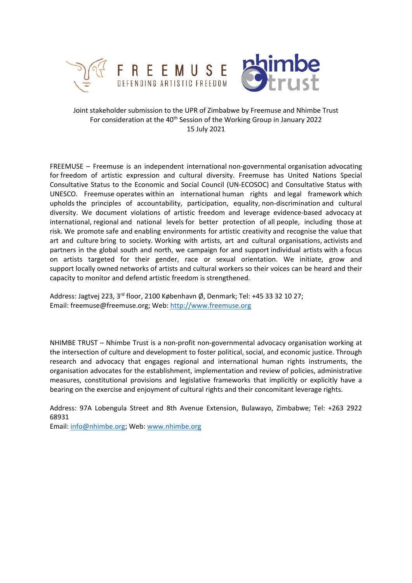

# Joint stakeholder submission to the UPR of Zimbabwe by Freemuse and Nhimbe Trust For consideration at the 40<sup>th</sup> Session of the Working Group in January 2022 15 July 2021

FREEMUSE – Freemuse is an independent international non-governmental organisation advocating for freedom of artistic expression and cultural diversity. Freemuse has United Nations Special Consultative Status to the Economic and Social Council (UN-ECOSOC) and Consultative Status with UNESCO. Freemuse operates within an international human rights and legal framework which upholds the principles of accountability, participation, equality, non-discrimination and cultural diversity. We document violations of artistic freedom and leverage evidence-based advocacy at international, regional and national levels for better protection of all people, including those at risk. We promote safe and enabling environments for artistic creativity and recognise the value that art and culture bring to society. Working with artists, art and cultural organisations, activists and partners in the global south and north, we campaign for and support individual artists with <sup>a</sup> focus on artists targeted for their gender, race or sexual orientation. We initiate, grow and support locally owned networks of artists and cultural workers so their voices can be heard and their capacity to monitor and defend artistic freedom is strengthened.

Address: Jagtvej 223, 3<sup>rd</sup> floor, 2100 København Ø, Denmark; Tel: +45 33 32 10 27; Email: freemuse@freemuse.org; Web: <http://www.freemuse.org>

NHIMBE TRUST – Nhimbe Trust is <sup>a</sup> non-profit non-governmental advocacy organisation working at the intersection of culture and development to foster political, social, and economic justice. Through research and advocacy that engages regional and international human rights instruments, the organisation advocates for the establishment, implementation and review of policies, administrative measures, constitutional provisions and legislative frameworks that implicitly or explicitly have <sup>a</sup> bearing on the exercise and enjoyment of cultural rights and their concomitant leverage rights.

Address: 97A Lobengula Street and 8th Avenue Extension, Bulawayo, Zimbabwe; Tel: +263 2922 68931

Email: [info@nhimbe.org](mailto:info@nhimbe.org); Web: [www.nhimbe.org](http://www.nhimbe.org)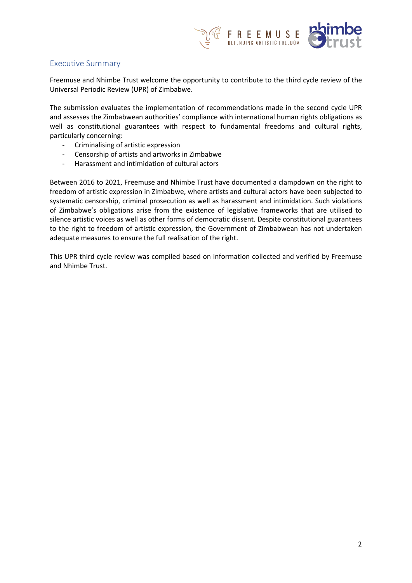

## Executive Summary

Freemuse and Nhimbe Trust welcome the opportunity to contribute to the third cycle review of the Universal Periodic Review (UPR) of Zimbabwe.

The submission evaluates the implementation of recommendations made in the second cycle UPR and assesses the Zimbabwean authorities' compliance with international human rights obligations as well as constitutional guarantees with respect to fundamental freedoms and cultural rights, particularly concerning:

- -Criminalising of artistic expression
- -Censorship of artists and artworks in Zimbabwe
- -Harassment and intimidation of cultural actors

Between 2016 to 2021, Freemuse and Nhimbe Trust have documented <sup>a</sup> clampdown on the right to freedom of artistic expression in Zimbabwe, where artists and cultural actors have been subjected to systematic censorship, criminal prosecution as well as harassment and intimidation. Such violations of Zimbabwe'<sup>s</sup> obligations arise from the existence of legislative frameworks that are utilised to silence artistic voices as well as other forms of democratic dissent. Despite constitutional guarantees to the right to freedom of artistic expression, the Government of Zimbabwean has not undertaken adequate measures to ensure the full realisation of the right.

This UPR third cycle review was compiled based on information collected and verified by Freemuse and Nhimbe Trust.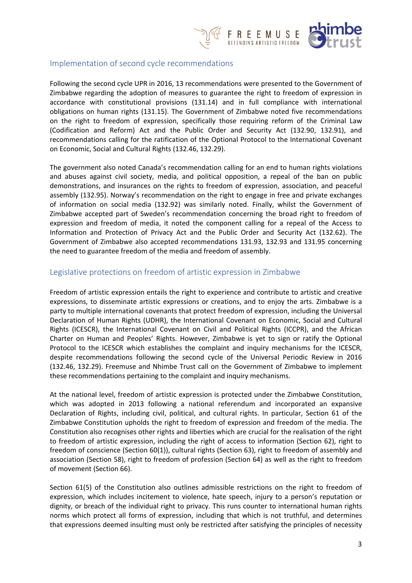

## Implementation of second cycle recommendations

Following the second cycle UPR in 2016, 13 recommendations were presented to the Government of Zimbabwe regarding the adoption of measures to guarantee the right to freedom of expression in accordance with constitutional provisions (131.14) and in full compliance with international obligations on human rights (131.15). The Government of Zimbabwe noted five recommendations on the right to freedom of expression, specifically those requiring reform of the Criminal Law (Codification and Reform) Act and the Public Order and Security Act (132.90, 132.91), and recommendations calling for the ratification of the Optional Protocol to the International Covenant on Economic, Social and Cultural Rights (132.46, 132.29).

The government also noted Canada'<sup>s</sup> recommendation calling for an end to human rights violations and abuses against civil society, media, and political opposition, <sup>a</sup> repeal of the ban on public demonstrations, and insurances on the rights to freedom of expression, association, and peaceful assembly (132.95). Norway'<sup>s</sup> recommendation on the right to engage in free and private exchanges of information on social media (132.92) was similarly noted. Finally, whilst the Government of Zimbabwe accepted part of Sweden'<sup>s</sup> recommendation concerning the broad right to freedom of expression and freedom of media, it noted the component calling for <sup>a</sup> repeal of the Access to Information and Protection of Privacy Act and the Public Order and Security Act (132.62). The Government of Zimbabwe also accepted recommendations 131.93, 132.93 and 131.95 concerning the need to guarantee freedom of the media and freedom of assembly.

# Legislative protections on freedom of artistic expression in Zimbabwe

Freedom of artistic expression entails the right to experience and contribute to artistic and creative expressions, to disseminate artistic expressions or creations, and to enjoy the arts. Zimbabwe is <sup>a</sup> party to multiple international covenants that protect freedom of expression, including the Universal Declaration of Human Rights (UDHR), the International Covenant on Economic, Social and Cultural Rights (ICESCR), the International Covenant on Civil and Political Rights (ICCPR), and the African Charter on Human and Peoples' Rights. However, Zimbabwe is yet to sign or ratify the Optional Protocol to the ICESCR which establishes the complaint and inquiry mechanisms for the ICESCR, despite recommendations following the second cycle of the Universal Periodic Review in 2016 (132.46, 132.29). Freemuse and Nhimbe Trust call on the Government of Zimbabwe to implement these recommendations pertaining to the complaint and inquiry mechanisms.

At the national level, freedom of artistic expression is protected under the Zimbabwe Constitution, which was adopted in 2013 following <sup>a</sup> national referendum and incorporated an expansive Declaration of Rights, including civil, political, and cultural rights. In particular, Section 61 of the Zimbabwe Constitution upholds the right to freedom of expression and freedom of the media. The Constitution also recognises other rights and liberties which are crucial for the realisation of the right to freedom of artistic expression, including the right of access to information (Section 62), right to freedom of conscience (Section 60(1)), cultural rights (Section 63), right to freedom of assembly and association (Section 58), right to freedom of profession (Section 64) as well as the right to freedom of movement (Section 66).

Section 61(5) of the Constitution also outlines admissible restrictions on the right to freedom of expression, which includes incitement to violence, hate speech, injury to <sup>a</sup> person'<sup>s</sup> reputation or dignity, or breach of the individual right to privacy. This runs counter to international human rights norms which protect all forms of expression, including that which is not truthful, and determines that expressions deemed insulting must only be restricted after satisfying the principles of necessity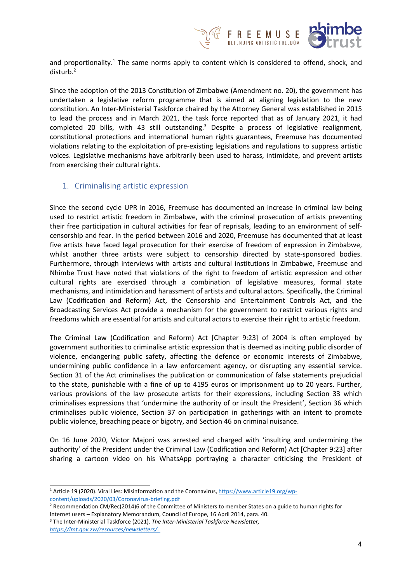

and proportionality.<sup>1</sup> The same norms apply to content which is considered to offend, shock, and disturb.<sup>2</sup>

Since the adoption of the 2013 Constitution of Zimbabwe (Amendment no. 20), the government has undertaken <sup>a</sup> legislative reform programme that is aimed at aligning legislation to the new constitution. An Inter-Ministerial Taskforce chaired by the Attorney General was established in 2015 to lead the process and in March 2021, the task force reported that as of January 2021, it had completed 20 bills, with 43 still outstanding.<sup>3</sup> Despite a process of legislative realignment, constitutional protections and international human rights guarantees, Freemuse has documented violations relating to the exploitation of pre-existing legislations and regulations to suppress artistic voices. Legislative mechanisms have arbitrarily been used to harass, intimidate, and prevent artists from exercising their cultural rights.

## 1. Criminalising artistic expression

Since the second cycle UPR in 2016, Freemuse has documented an increase in criminal law being used to restrict artistic freedom in Zimbabwe, with the criminal prosecution of artists preventing their free participation in cultural activities for fear of reprisals, leading to an environment of selfcensorship and fear. In the period between 2016 and 2020, Freemuse has documented that at least five artists have faced legal prosecution for their exercise of freedom of expression in Zimbabwe, whilst another three artists were subject to censorship directed by state-sponsored bodies. Furthermore, through interviews with artists and cultural institutions in Zimbabwe, Freemuse and Nhimbe Trust have noted that violations of the right to freedom of artistic expression and other cultural rights are exercised through <sup>a</sup> combination of legislative measures, formal state mechanisms, and intimidation and harassment of artists and cultural actors. Specifically, the Criminal Law (Codification and Reform) Act, the Censorship and Entertainment Controls Act, and the Broadcasting Services Act provide <sup>a</sup> mechanism for the government to restrict various rights and freedoms which are essential for artists and cultural actors to exercise their right to artistic freedom.

The Criminal Law (Codification and Reform) Act [Chapter 9:23] of 2004 is often employed by government authorities to criminalise artistic expression that is deemed as inciting public disorder of violence, endangering public safety, affecting the defence or economic interests of Zimbabwe, undermining public confidence in <sup>a</sup> law enforcement agency, or disrupting any essential service. Section 31 of the Act criminalises the publication or communication of false statements prejudicial to the state, punishable with <sup>a</sup> fine of up to 4195 euros or imprisonment up to 20 years. Further, various provisions of the law prosecute artists for their expressions, including Section 33 which criminalises expressions that 'undermine the authority of or insult the President', Section 36 which criminalises public violence, Section 37 on participation in gatherings with an intent to promote public violence, breaching peace or bigotry, and Section 46 on criminal nuisance.

On 16 June 2020, Victor Majoni was arrested and charged with 'insulting and undermining the authority' of the President under the Criminal Law (Codification and Reform) Act [Chapter 9:23] after sharing <sup>a</sup> cartoon video on his WhatsApp portraying <sup>a</sup> character criticising the President of

<sup>&</sup>lt;sup>1</sup> Article 19 (2020). Viral Lies: Misinformation and the Coronavirus, [https://www.article19.org/wp](https://www.article19.org/wp-content/uploads/2020/03/Coronavirus-briefing.pdf)[content/uploads/2020/03/Coronavirus-briefing.pdf](https://www.article19.org/wp-content/uploads/2020/03/Coronavirus-briefing.pdf)

<sup>&</sup>lt;sup>2</sup> Recommendation CM/Rec(2014)6 of the Committee of Ministers to member States on a guide to human rights for Internet users – Explanatory Memorandum, Council of Europe, 16 April 2014, para. 40.

<sup>3</sup> The Inter-Ministerial Taskforce (2021). *The Inter-Ministerial Taskforce Newsletter, [https://imt.gov.zw/resources/newsletters/.](https://imt.gov.zw/resources/newsletters/)*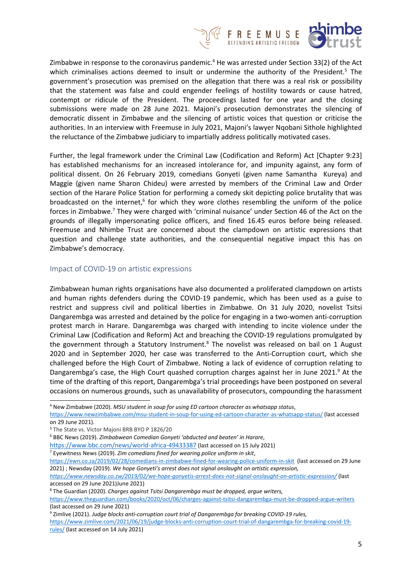

Zimbabwe in response to the coronavirus pandemic.<sup>4</sup> He was arrested under Section 33(2) of the Act which criminalises actions deemed to insult or undermine the authority of the President.<sup>5</sup> The government'<sup>s</sup> prosecution was premised on the allegation that there was <sup>a</sup> real risk or possibility that the statement was false and could engender feelings of hostility towards or cause hatred, contempt or ridicule of the President. The proceedings lasted for one year and the closing submissions were made on 28 June 2021. Majoni'<sup>s</sup> prosecution demonstrates the silencing of democratic dissent in Zimbabwe and the silencing of artistic voices that question or criticise the authorities. In an interview with Freemuse in July 2021, Majoni'<sup>s</sup> lawyer Nqobani Sithole highlighted the reluctance of the Zimbabwe judiciary to impartially address politically motivated cases.

Further, the legal framework under the Criminal Law (Codification and Reform) Act [Chapter 9:23] has established mechanisms for an increased intolerance for, and impunity against, any form of political dissent. On 26 February 2019, comedians Gonyeti (given name Samantha Kureya) and Maggie (given name Sharon Chideu) were arrested by members of the Criminal Law and Order section of the Harare Police Station for performing <sup>a</sup> comedy skit depicting police brutality that was broadcasted on the internet,<sup>6</sup> for which they wore clothes resembling the uniform of the police forces in Zimbabwe.<sup>7</sup> They were charged with 'criminal nuisance' under Section 46 of the Act on the grounds of illegally impersonating police officers, and fined 16.45 euros before being released. Freemuse and Nhimbe Trust are concerned about the clampdown on artistic expressions that question and challenge state authorities, and the consequential negative impact this has on Zimbabwe'<sup>s</sup> democracy.

### Impact of COVID-19 on artistic expressions

Zimbabwean human rights organisations have also documented <sup>a</sup> proliferated clampdown on artists and human rights defenders during the COVID-19 pandemic, which has been used as <sup>a</sup> guise to restrict and suppress civil and political liberties in Zimbabwe. On 31 July 2020, novelist Tsitsi Dangarembga was arrested and detained by the police for engaging in <sup>a</sup> two-women anti-corruption protest march in Harare. Dangarembga was charged with intending to incite violence under the Criminal Law (Codification and Reform) Act and breaching the COVID-19 regulations promulgated by the government through a Statutory Instrument.<sup>8</sup> The novelist was released on bail on 1 August 2020 and in September 2020, her case was transferred to the Anti-Corruption court, which she challenged before the High Court of Zimbabwe. Noting <sup>a</sup> lack of evidence of corruption relating to Dangarembga's case, the High Court quashed corruption charges against her in June 2021.<sup>9</sup> At the time of the drafting of this report, Dangarembga'<sup>s</sup> trial proceedings have been postponed on several occasions on numerous grounds, such as unavailability of prosecutors, compounding the harassment

*<https://www.newsday.co.zw/2019/02/we-hope-gonyetis-arrest-does-not-signal-onslaught-on-artistic-expression/>* (last accessed on 29 June 2021)June 2021)

8 The Guardian (2020). *Charges against Tsitsi Dangarembga must be dropped, argue writers,*

9 Zimlive (2021). *Judge blocks anti-corruption court trial of Dangarembga for breaking COVID-19 rules,*

[https://www.zimlive.com/2021/06/19/judge-blocks-anti-corruption-court-trial-of-dangarembga-for-breaking-covid-19](https://www.zimlive.com/2021/06/19/judge-blocks-anti-corruption-court-trial-of-dangarembga-for-breaking-covid-19-rules/) [rules/](https://www.zimlive.com/2021/06/19/judge-blocks-anti-corruption-court-trial-of-dangarembga-for-breaking-covid-19-rules/) (last accessed on 14 July 2021)

<sup>4</sup> New Zimbabwe (2020). *MSU student in soup for using ED cartoon character as whatsapp status*,

<https://www.newzimbabwe.com/msu-student-in-soup-for-using-ed-cartoon-character-as-whatsapp-status/> (last accessed on 29 June 2021).

<sup>5</sup> The State vs. Victor Majoni BRB BYO P 1826/20

<sup>6</sup> BBC News (2019). *Zimbabwean Comedian Gonyeti 'abducted and beaten' in Harare*,

<https://www.bbc.com/news/world-africa-49433387> (last accessed on <sup>15</sup> July 2021)

<sup>7</sup> Eyewitness News (2019). *Zim comedians fined for wearing police uniform in skit*,

<https://ewn.co.za/2019/02/28/comedians-in-zimbabwe-fined-for-wearing-police-uniform-in-skit> (last accessed on 29 June 2021) ; Newsday (2019). *We hope Gonyeti'<sup>s</sup> arrest does not signal onslaught on artistic expression,*

<https://www.theguardian.com/books/2020/oct/06/charges-against-tsitsi-dangarembga-must-be-dropped-argue-writers> (last accessed on 29 June 2021)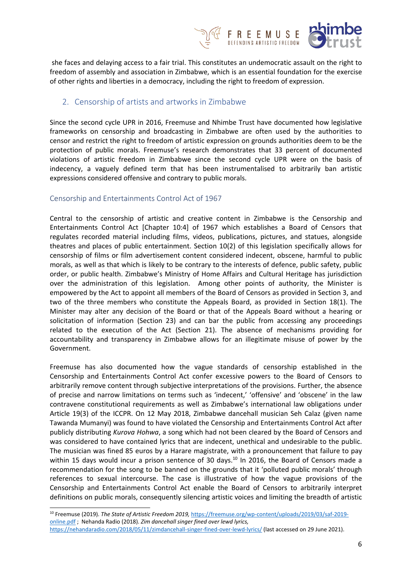

she faces and delaying access to <sup>a</sup> fair trial. This constitutes an undemocratic assault on the right to freedom of assembly and association in Zimbabwe, which is an essential foundation for the exercise of other rights and liberties in <sup>a</sup> democracy, including the right to freedom of expression.

# 2. Censorship of artists and artworks in Zimbabwe

Since the second cycle UPR in 2016, Freemuse and Nhimbe Trust have documented how legislative frameworks on censorship and broadcasting in Zimbabwe are often used by the authorities to censor and restrict the right to freedom of artistic expression on grounds authorities deem to be the protection of public morals. Freemuse'<sup>s</sup> research demonstrates that 33 percent of documented violations of artistic freedom in Zimbabwe since the second cycle UPR were on the basis of indecency, <sup>a</sup> vaguely defined term that has been instrumentalised to arbitrarily ban artistic expressions considered offensive and contrary to public morals.

# Censorship and Entertainments Control Act of 1967

Central to the censorship of artistic and creative content in Zimbabwe is the Censorship and Entertainments Control Act [Chapter 10:4] of 1967 which establishes <sup>a</sup> Board of Censors that regulates recorded material including films, videos, publications, pictures, and statues, alongside theatres and places of public entertainment. Section 10(2) of this legislation specifically allows for censorship of films or film advertisement content considered indecent, obscene, harmful to public morals, as well as that which is likely to be contrary to the interests of defence, public safety, public order, or public health. Zimbabwe'<sup>s</sup> Ministry of Home Affairs and Cultural Heritage has jurisdiction over the administration of this legislation. Among other points of authority, the Minister is empowered by the Act to appoint all members of the Board of Censors as provided in Section 3, and two of the three members who constitute the Appeals Board, as provided in Section 18(1). The Minister may alter any decision of the Board or that of the Appeals Board without <sup>a</sup> hearing or solicitation of information (Section 23) and can bar the public from accessing any proceedings related to the execution of the Act (Section 21). The absence of mechanisms providing for accountability and transparency in Zimbabwe allows for an illegitimate misuse of power by the Government.

Freemuse has also documented how the vague standards of censorship established in the Censorship and Entertainments Control Act confer excessive powers to the Board of Censors to arbitrarily remove content through subjective interpretations of the provisions. Further, the absence of precise and narrow limitations on terms such as 'indecent,' 'offensive' and 'obscene' in the law contravene constitutional requirements as well as Zimbabwe'<sup>s</sup> international law obligations under Article 19(3) of the ICCPR. On 12 May 2018, Zimbabwe dancehall musician Seh Calaz (given name Tawanda Mumanyi) was found to have violated the Censorship and Entertainments Control Act after publicly distributing *Kurova Hohwa*, <sup>a</sup> song which had not been cleared by the Board of Censors and was considered to have contained lyrics that are indecent, unethical and undesirable to the public. The musician was fined 85 euros by <sup>a</sup> Harare magistrate, with <sup>a</sup> pronouncement that failure to pay within 15 days would incur a prison sentence of 30 days.<sup>10</sup> In 2016, the Board of Censors made a recommendation for the song to be banned on the grounds that it 'polluted public morals' through references to sexual intercourse. The case is illustrative of how the vague provisions of the Censorship and Entertainments Control Act enable the Board of Censors to arbitrarily interpret definitions on public morals, consequently silencing artistic voices and limiting the breadth of artistic

<sup>10</sup> Freemuse (2019). *The State of Artistic Freedom 2019,* [https://freemuse.org/wp-content/uploads/2019/03/saf-2019](https://freemuse.org/wp-content/uploads/2019/03/saf-2019-online.pdf) [online.pdf](https://freemuse.org/wp-content/uploads/2019/03/saf-2019-online.pdf) ; Nehanda Radio (2018). *Zim dancehall singer fined over lewd lyrics,* <https://nehandaradio.com/2018/05/11/zimdancehall-singer-fined-over-lewd-lyrics/> (last accessed on 29 June 2021).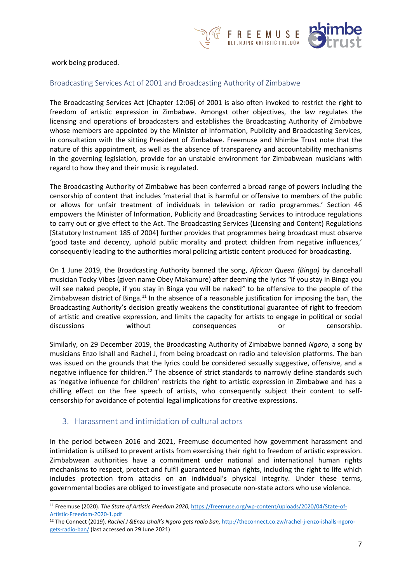

#### work being produced.

#### Broadcasting Services Act of 2001 and Broadcasting Authority of Zimbabwe

The Broadcasting Services Act [Chapter 12:06] of 2001 is also often invoked to restrict the right to freedom of artistic expression in Zimbabwe. Amongst other objectives, the law regulates the licensing and operations of broadcasters and establishes the Broadcasting Authority of Zimbabwe whose members are appointed by the Minister of Information, Publicity and Broadcasting Services, in consultation with the sitting President of Zimbabwe. Freemuse and Nhimbe Trust note that the nature of this appointment, as well as the absence of transparency and accountability mechanisms in the governing legislation, provide for an unstable environment for Zimbabwean musicians with regard to how they and their music is regulated.

The Broadcasting Authority of Zimbabwe has been conferred <sup>a</sup> broad range of powers including the censorship of content that includes 'material that is harmful or offensive to members of the public or allows for unfair treatment of individuals in television or radio programmes.' Section 46 empowers the Minister of Information, Publicity and Broadcasting Services to introduce regulations to carry out or give effect to the Act. The Broadcasting Services (Licensing and Content) Regulations [Statutory Instrument 185 of 2004] further provides that programmes being broadcast must observe 'good taste and decency, uphold public morality and protect children from negative influences,' consequently leading to the authorities moral policing artistic content produced for broadcasting.

On 1 June 2019, the Broadcasting Authority banned the song, *African Queen (Binga)* by dancehall musician Tocky Vibes (given name Obey Makamure) after deeming the lyrics *"*if you stay in Binga you will see naked people, if you stay in Binga you will be naked*"* to be offensive to the people of the Zimbabwean district of Binga.<sup>11</sup> In the absence of a reasonable justification for imposing the ban, the Broadcasting Authority'<sup>s</sup> decision greatly weakens the constitutional guarantee of right to freedom of artistic and creative expression, and limits the capacity for artists to engage in political or social discussions without consequences or censorship.

Similarly, on 29 December 2019, the Broadcasting Authority of Zimbabwe banned *Ngoro*, <sup>a</sup> song by musicians Enzo Ishall and Rachel J, from being broadcast on radio and television platforms. The ban was issued on the grounds that the lyrics could be considered sexually suggestive, offensive, and <sup>a</sup> negative influence for children.<sup>12</sup> The absence of strict standards to narrowly define standards such as 'negative influence for children' restricts the right to artistic expression in Zimbabwe and has <sup>a</sup> chilling effect on the free speech of artists, who consequently subject their content to selfcensorship for avoidance of potential legal implications for creative expressions.

### 3. Harassment and intimidation of cultural actors

In the period between 2016 and 2021, Freemuse documented how government harassment and intimidation is utilised to prevent artists from exercising their right to freedom of artistic expression. Zimbabwean authorities have <sup>a</sup> commitment under national and international human rights mechanisms to respect, protect and fulfil guaranteed human rights, including the right to life which includes protection from attacks on an individual'<sup>s</sup> physical integrity. Under these terms, governmental bodies are obliged to investigate and prosecute non-state actors who use violence.

<sup>11</sup> Freemuse (2020). *The State of Artistic Freedom 2020*, [https://freemuse.org/wp-content/uploads/2020/04/State-of-](https://freemuse.org/wp-content/uploads/2020/04/State-of-Artistic-Freedom-2020-1.pdf)[Artistic-Freedom-2020-1.pdf](https://freemuse.org/wp-content/uploads/2020/04/State-of-Artistic-Freedom-2020-1.pdf)

<sup>12</sup> The Connect (2019). *Rachel J &Enzo Ishall'<sup>s</sup> Ngoro gets radio ban,* [http://theconnect.co.zw/rachel-j-enzo-ishalls-ngoro](http://theconnect.co.zw/rachel-j-enzo-ishalls-ngoro-gets-radio-ban/)[gets-radio-ban/](http://theconnect.co.zw/rachel-j-enzo-ishalls-ngoro-gets-radio-ban/) (last accessed on 29 June 2021)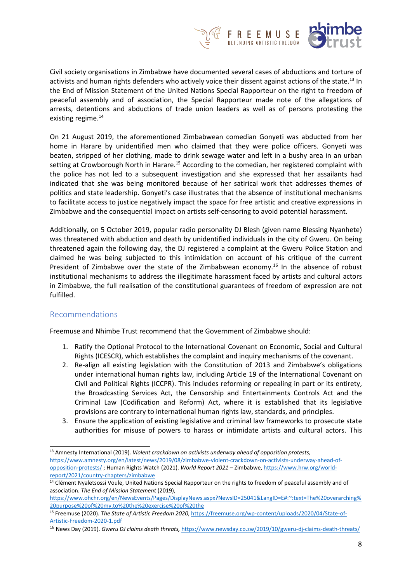

Civil society organisations in Zimbabwe have documented several cases of abductions and torture of activists and human rights defenders who actively voice their dissent against actions of the state.<sup>13</sup> In the End of Mission Statement of the United Nations Special Rapporteur on the right to freedom of peaceful assembly and of association, the Special Rapporteur made note of the allegations of arrests, detentions and abductions of trade union leaders as well as of persons protesting the existing regime. 14

On 21 August 2019, the aforementioned Zimbabwean comedian Gonyeti was abducted from her home in Harare by unidentified men who claimed that they were police officers. Gonyeti was beaten, stripped of her clothing, made to drink sewage water and left in <sup>a</sup> bushy area in an urban setting at Crowborough North in Harare.<sup>15</sup> According to the comedian, her registered complaint with the police has not led to <sup>a</sup> subsequent investigation and she expressed that her assailants had indicated that she was being monitored because of her satirical work that addresses themes of politics and state leadership. Gonyeti'<sup>s</sup> case illustrates that the absence of institutional mechanisms to facilitate access to justice negatively impact the space for free artistic and creative expressions in Zimbabwe and the consequential impact on artists self-censoring to avoid potential harassment.

Additionally, on 5 October 2019, popular radio personality DJ Blesh (given name Blessing Nyanhete) was threatened with abduction and death by unidentified individuals in the city of Gweru. On being threatened again the following day, the DJ registered <sup>a</sup> complaint at the Gweru Police Station and claimed he was being subjected to this intimidation on account of his critique of the current President of Zimbabwe over the state of the Zimbabwean economy.<sup>16</sup> In the absence of robust institutional mechanisms to address the illegitimate harassment faced by artists and cultural actors in Zimbabwe, the full realisation of the constitutional guarantees of freedom of expression are not fulfilled.

# Recommendations

Freemuse and Nhimbe Trust recommend that the Government of Zimbabwe should:

- 1. Ratify the Optional Protocol to the International Covenant on Economic, Social and Cultural Rights (ICESCR), which establishes the complaint and inquiry mechanisms of the covenant.
- 2. Re-align all existing legislation with the Constitution of 2013 and Zimbabwe'<sup>s</sup> obligations under international human rights law, including Article 19 of the International Covenant on Civil and Political Rights (ICCPR). This includes reforming or repealing in part or its entirety, the Broadcasting Services Act, the Censorship and Entertainments Controls Act and the Criminal Law (Codification and Reform) Act, where it is established that its legislative provisions are contrary to international human rights law, standards, and principles.
- 3. Ensure the application of existing legislative and criminal law frameworks to prosecute state authorities for misuse of powers to harass or intimidate artists and cultural actors. This

<sup>13</sup> Amnesty International (2019). *Violent crackdown on activists underway ahead of opposition protests,* [https://www.amnesty.org/en/latest/news/2019/08/zimbabwe-violent-crackdown-on-activists-underway-ahead-of](https://www.amnesty.org/en/latest/news/2019/08/zimbabwe-violent-crackdown-on-activists-underway-ahead-of-opposition-protests/)[opposition-protests/](https://www.amnesty.org/en/latest/news/2019/08/zimbabwe-violent-crackdown-on-activists-underway-ahead-of-opposition-protests/) ; Human Rights Watch (2021). *World Report 2021 –* Zimbabwe, [https://www.hrw.org/world](https://www.hrw.org/world-report/2021/country-chapters/zimbabwe)[report/2021/country-chapters/zimbabwe](https://www.hrw.org/world-report/2021/country-chapters/zimbabwe)

<sup>&</sup>lt;sup>14</sup> Clément Nyaletsossi Voule, United Nations Special Rapporteur on the rights to freedom of peaceful assembly and of association. *The End of Mission Statement* (2019),

[https://www.ohchr.org/en/NewsEvents/Pages/DisplayNews.aspx?NewsID=25041&LangID=E#:~:text=The%20overarching%](https://www.ohchr.org/en/NewsEvents/Pages/DisplayNews.aspx?NewsID=25041&LangID=E#:~:text=The%20overarching%20purpose%20of%20my,to%20the%20exercise%20of%20the) [20purpose%20of%20my,to%20the%20exercise%20of%20the](https://www.ohchr.org/en/NewsEvents/Pages/DisplayNews.aspx?NewsID=25041&LangID=E#:~:text=The%20overarching%20purpose%20of%20my,to%20the%20exercise%20of%20the)

<sup>15</sup> Freemuse (2020). *The State of Artistic Freedom 2020*, [https://freemuse.org/wp-content/uploads/2020/04/State-of-](https://freemuse.org/wp-content/uploads/2020/04/State-of-Artistic-Freedom-2020-1.pdf)[Artistic-Freedom-2020-1.pdf](https://freemuse.org/wp-content/uploads/2020/04/State-of-Artistic-Freedom-2020-1.pdf)

<sup>16</sup> News Day (2019). *Gweru DJ claims death threats,* <https://www.newsday.co.zw/2019/10/gweru-dj-claims-death-threats/>